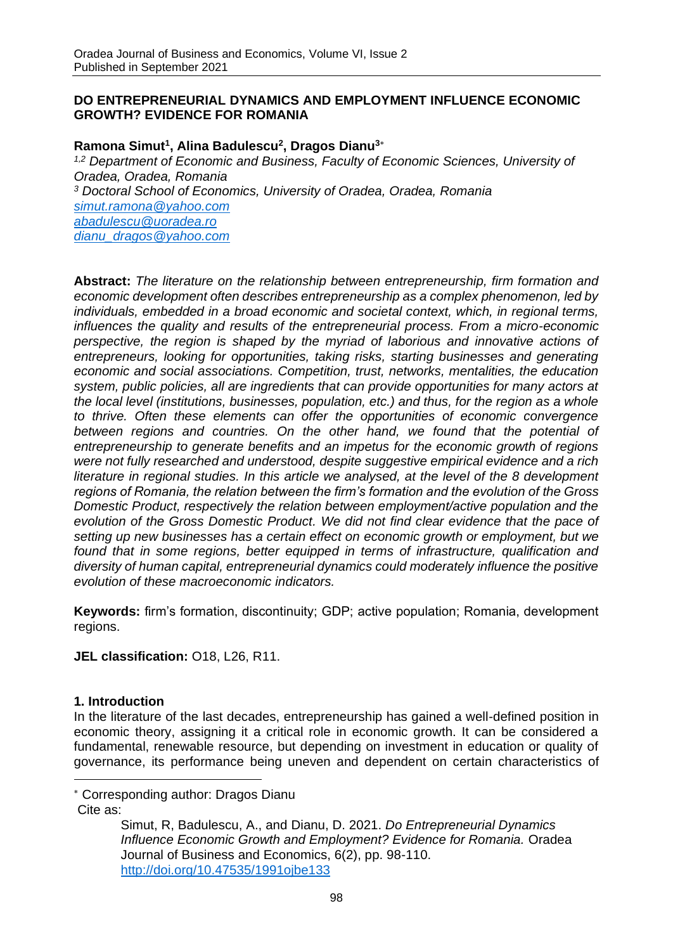### **DO ENTREPRENEURIAL DYNAMICS AND EMPLOYMENT INFLUENCE ECONOMIC GROWTH? EVIDENCE FOR ROMANIA**

## **Ramona Simut<sup>1</sup> , Alina Badulescu<sup>2</sup> , Dragos Dianu<sup>3</sup>**

*1,2 Department of Economic and Business, Faculty of Economic Sciences, University of Oradea, Oradea, Romania <sup>3</sup> Doctoral School of Economics, University of Oradea, Oradea, Romania [simut.ramona@yahoo.com](mailto:simut.ramona@yahoo.com) [abadulescu@uoradea.ro](mailto:abadulescu@uoradea.ro) [dianu\\_dragos@yahoo.com](mailto:dianu_dragos@yahoo.com)*

**Abstract:** *The literature on the relationship between entrepreneurship, firm formation and economic development often describes entrepreneurship as a complex phenomenon, led by individuals, embedded in a broad economic and societal context, which, in regional terms, influences the quality and results of the entrepreneurial process. From a micro-economic*  perspective, the region is shaped by the myriad of laborious and innovative actions of *entrepreneurs, looking for opportunities, taking risks, starting businesses and generating economic and social associations. Competition, trust, networks, mentalities, the education system, public policies, all are ingredients that can provide opportunities for many actors at the local level (institutions, businesses, population, etc.) and thus, for the region as a whole to thrive. Often these elements can offer the opportunities of economic convergence*  between regions and countries. On the other hand, we found that the potential of *entrepreneurship to generate benefits and an impetus for the economic growth of regions were not fully researched and understood, despite suggestive empirical evidence and a rich literature in regional studies. In this article we analysed, at the level of the 8 development regions of Romania, the relation between the firm's formation and the evolution of the Gross Domestic Product, respectively the relation between employment/active population and the evolution of the Gross Domestic Product. We did not find clear evidence that the pace of setting up new businesses has a certain effect on economic growth or employment, but we found that in some regions, better equipped in terms of infrastructure, qualification and diversity of human capital, entrepreneurial dynamics could moderately influence the positive evolution of these macroeconomic indicators.*

**Keywords:** firm's formation, discontinuity; GDP; active population; Romania, development regions.

**JEL classification:** O18, L26, R11.

### **1. Introduction**

In the literature of the last decades, entrepreneurship has gained a well-defined position in economic theory, assigning it a critical role in economic growth. It can be considered a fundamental, renewable resource, but depending on investment in education or quality of governance, its performance being uneven and dependent on certain characteristics of

Corresponding author: Dragos Dianu

Cite as:

Simut, R, Badulescu, A., and Dianu, D. 2021. *Do Entrepreneurial Dynamics Influence Economic Growth and Employment? Evidence for Romania.* Oradea Journal of Business and Economics, 6(2), pp. 98-110. <http://doi.org/10.47535/1991ojbe133>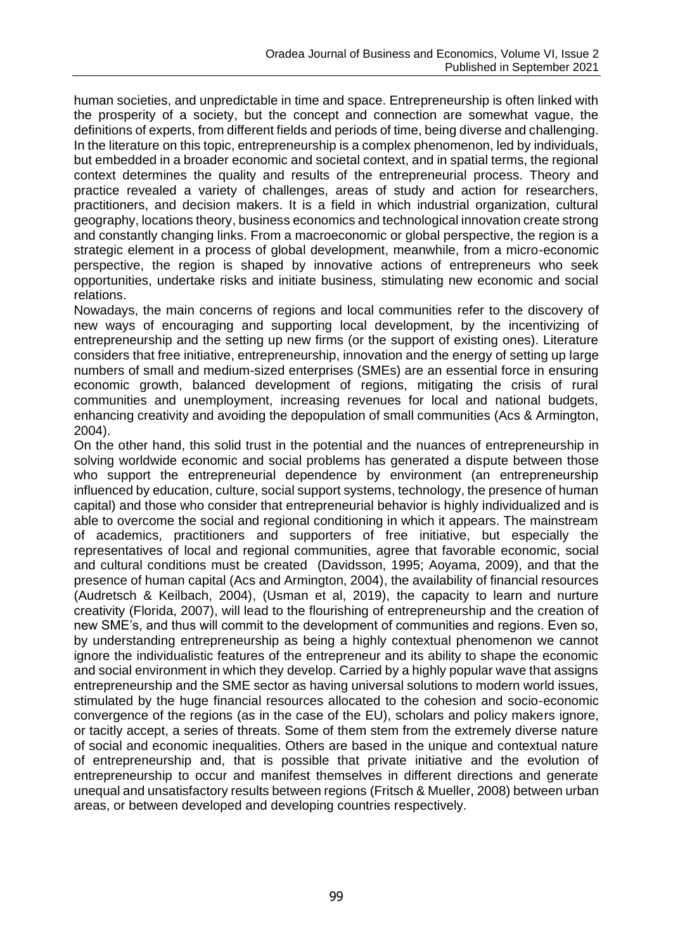human societies, and unpredictable in time and space. Entrepreneurship is often linked with the prosperity of a society, but the concept and connection are somewhat vague, the definitions of experts, from different fields and periods of time, being diverse and challenging. In the literature on this topic, entrepreneurship is a complex phenomenon, led by individuals, but embedded in a broader economic and societal context, and in spatial terms, the regional context determines the quality and results of the entrepreneurial process. Theory and practice revealed a variety of challenges, areas of study and action for researchers, practitioners, and decision makers. It is a field in which industrial organization, cultural geography, locations theory, business economics and technological innovation create strong and constantly changing links. From a macroeconomic or global perspective, the region is a strategic element in a process of global development, meanwhile, from a micro-economic perspective, the region is shaped by innovative actions of entrepreneurs who seek opportunities, undertake risks and initiate business, stimulating new economic and social relations.

Nowadays, the main concerns of regions and local communities refer to the discovery of new ways of encouraging and supporting local development, by the incentivizing of entrepreneurship and the setting up new firms (or the support of existing ones). Literature considers that free initiative, entrepreneurship, innovation and the energy of setting up large numbers of small and medium-sized enterprises (SMEs) are an essential force in ensuring economic growth, balanced development of regions, mitigating the crisis of rural communities and unemployment, increasing revenues for local and national budgets, enhancing creativity and avoiding the depopulation of small communities (Acs & Armington, 2004).

On the other hand, this solid trust in the potential and the nuances of entrepreneurship in solving worldwide economic and social problems has generated a dispute between those who support the entrepreneurial dependence by environment (an entrepreneurship influenced by education, culture, social support systems, technology, the presence of human capital) and those who consider that entrepreneurial behavior is highly individualized and is able to overcome the social and regional conditioning in which it appears. The mainstream of academics, practitioners and supporters of free initiative, but especially the representatives of local and regional communities, agree that favorable economic, social and cultural conditions must be created (Davidsson, 1995; Aoyama, 2009), and that the presence of human capital (Acs and Armington, 2004), the availability of financial resources (Audretsch & Keilbach, 2004), (Usman et al, 2019), the capacity to learn and nurture creativity (Florida, 2007), will lead to the flourishing of entrepreneurship and the creation of new SME's, and thus will commit to the development of communities and regions. Even so, by understanding entrepreneurship as being a highly contextual phenomenon we cannot ignore the individualistic features of the entrepreneur and its ability to shape the economic and social environment in which they develop. Carried by a highly popular wave that assigns entrepreneurship and the SME sector as having universal solutions to modern world issues, stimulated by the huge financial resources allocated to the cohesion and socio-economic convergence of the regions (as in the case of the EU), scholars and policy makers ignore, or tacitly accept, a series of threats. Some of them stem from the extremely diverse nature of social and economic inequalities. Others are based in the unique and contextual nature of entrepreneurship and, that is possible that private initiative and the evolution of entrepreneurship to occur and manifest themselves in different directions and generate unequal and unsatisfactory results between regions (Fritsch & Mueller, 2008) between urban areas, or between developed and developing countries respectively.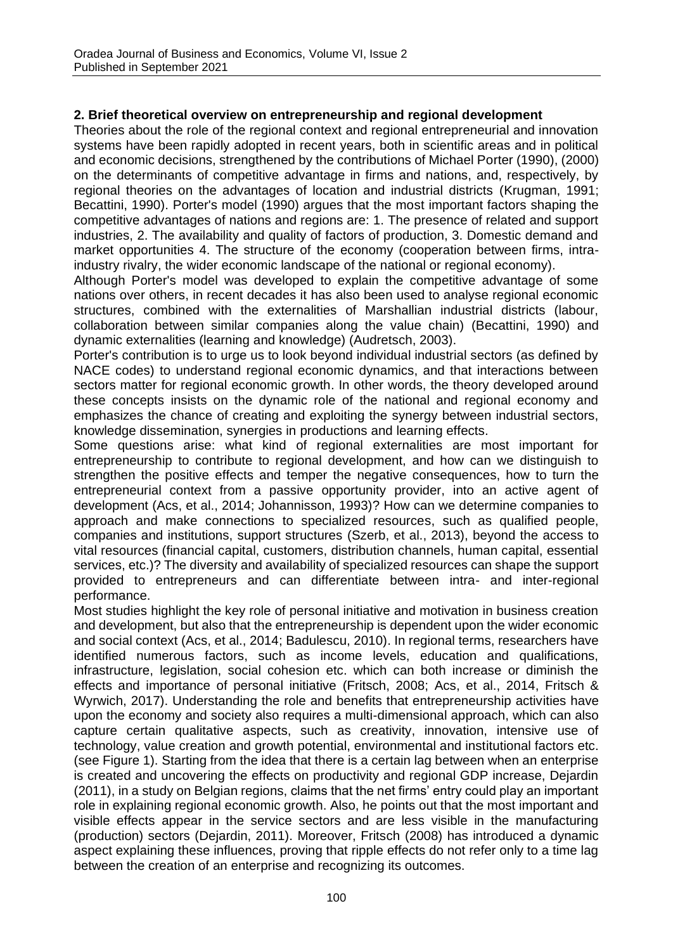### **2. Brief theoretical overview on entrepreneurship and regional development**

Theories about the role of the regional context and regional entrepreneurial and innovation systems have been rapidly adopted in recent years, both in scientific areas and in political and economic decisions, strengthened by the contributions of Michael Porter (1990), (2000) on the determinants of competitive advantage in firms and nations, and, respectively, by regional theories on the advantages of location and industrial districts (Krugman, 1991; Becattini, 1990). Porter's model (1990) argues that the most important factors shaping the competitive advantages of nations and regions are: 1. The presence of related and support industries, 2. The availability and quality of factors of production, 3. Domestic demand and market opportunities 4. The structure of the economy (cooperation between firms, intraindustry rivalry, the wider economic landscape of the national or regional economy).

Although Porter's model was developed to explain the competitive advantage of some nations over others, in recent decades it has also been used to analyse regional economic structures, combined with the externalities of Marshallian industrial districts (labour, collaboration between similar companies along the value chain) (Becattini, 1990) and dynamic externalities (learning and knowledge) (Audretsch, 2003).

Porter's contribution is to urge us to look beyond individual industrial sectors (as defined by NACE codes) to understand regional economic dynamics, and that interactions between sectors matter for regional economic growth. In other words, the theory developed around these concepts insists on the dynamic role of the national and regional economy and emphasizes the chance of creating and exploiting the synergy between industrial sectors, knowledge dissemination, synergies in productions and learning effects.

Some questions arise: what kind of regional externalities are most important for entrepreneurship to contribute to regional development, and how can we distinguish to strengthen the positive effects and temper the negative consequences, how to turn the entrepreneurial context from a passive opportunity provider, into an active agent of development (Acs, et al., 2014; Johannisson, 1993)? How can we determine companies to approach and make connections to specialized resources, such as qualified people, companies and institutions, support structures (Szerb, et al., 2013), beyond the access to vital resources (financial capital, customers, distribution channels, human capital, essential services, etc.)? The diversity and availability of specialized resources can shape the support provided to entrepreneurs and can differentiate between intra- and inter-regional performance.

Most studies highlight the key role of personal initiative and motivation in business creation and development, but also that the entrepreneurship is dependent upon the wider economic and social context (Acs, et al., 2014; Badulescu, 2010). In regional terms, researchers have identified numerous factors, such as income levels, education and qualifications, infrastructure, legislation, social cohesion etc. which can both increase or diminish the effects and importance of personal initiative (Fritsch, 2008; Acs, et al., 2014, Fritsch & Wyrwich, 2017). Understanding the role and benefits that entrepreneurship activities have upon the economy and society also requires a multi-dimensional approach, which can also capture certain qualitative aspects, such as creativity, innovation, intensive use of technology, value creation and growth potential, environmental and institutional factors etc. (see Figure 1). Starting from the idea that there is a certain lag between when an enterprise is created and uncovering the effects on productivity and regional GDP increase, Dejardin (2011), in a study on Belgian regions, claims that the net firms' entry could play an important role in explaining regional economic growth. Also, he points out that the most important and visible effects appear in the service sectors and are less visible in the manufacturing (production) sectors (Dejardin, 2011). Moreover, Fritsch (2008) has introduced a dynamic aspect explaining these influences, proving that ripple effects do not refer only to a time lag between the creation of an enterprise and recognizing its outcomes.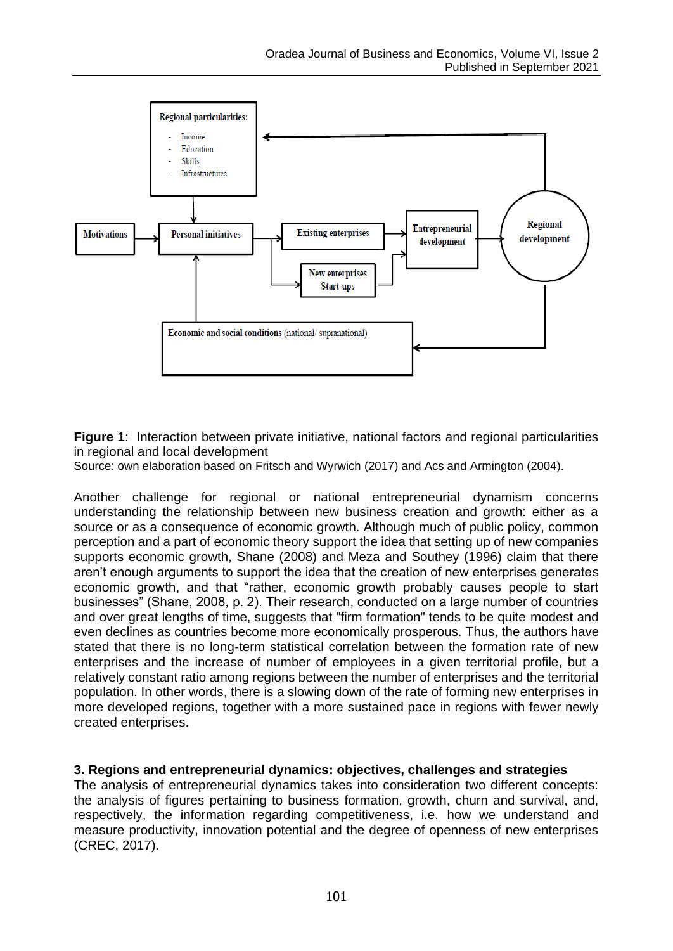

**Figure 1**: Interaction between private initiative, national factors and regional particularities in regional and local development

Source: own elaboration based on Fritsch and Wyrwich (2017) and Acs and Armington (2004).

Another challenge for regional or national entrepreneurial dynamism concerns understanding the relationship between new business creation and growth: either as a source or as a consequence of economic growth. Although much of public policy, common perception and a part of economic theory support the idea that setting up of new companies supports economic growth, Shane (2008) and Meza and Southey (1996) claim that there aren't enough arguments to support the idea that the creation of new enterprises generates economic growth, and that "rather, economic growth probably causes people to start businesses" (Shane, 2008, p. 2). Their research, conducted on a large number of countries and over great lengths of time, suggests that "firm formation" tends to be quite modest and even declines as countries become more economically prosperous. Thus, the authors have stated that there is no long-term statistical correlation between the formation rate of new enterprises and the increase of number of employees in a given territorial profile, but a relatively constant ratio among regions between the number of enterprises and the territorial population. In other words, there is a slowing down of the rate of forming new enterprises in more developed regions, together with a more sustained pace in regions with fewer newly created enterprises.

### **3. Regions and entrepreneurial dynamics: objectives, challenges and strategies**

The analysis of entrepreneurial dynamics takes into consideration two different concepts: the analysis of figures pertaining to business formation, growth, churn and survival, and, respectively, the information regarding competitiveness, i.e. how we understand and measure productivity, innovation potential and the degree of openness of new enterprises (CREC, 2017).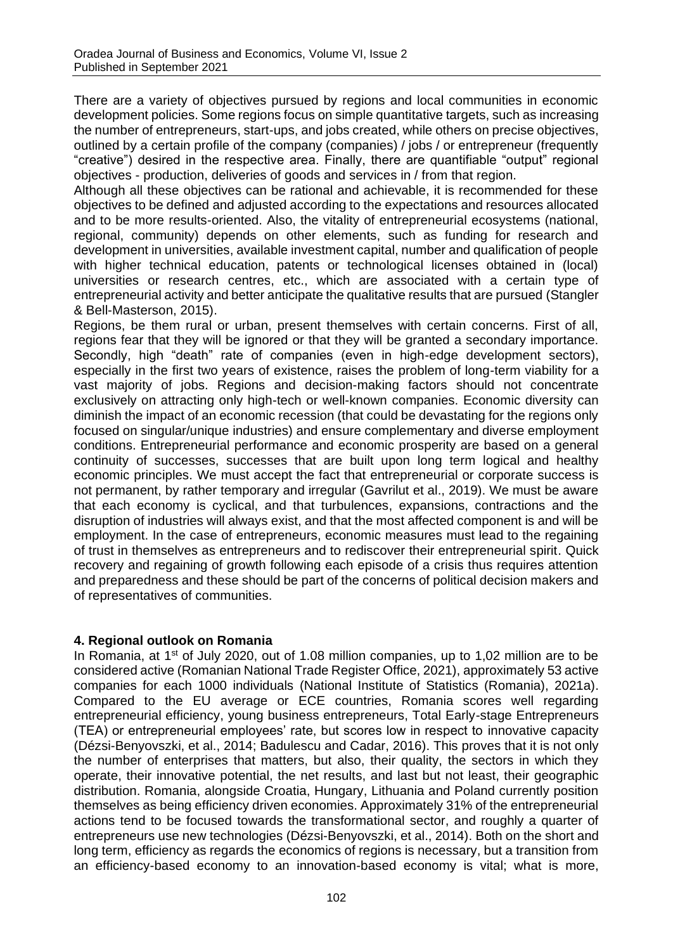There are a variety of objectives pursued by regions and local communities in economic development policies. Some regions focus on simple quantitative targets, such as increasing the number of entrepreneurs, start-ups, and jobs created, while others on precise objectives, outlined by a certain profile of the company (companies) / jobs / or entrepreneur (frequently "creative") desired in the respective area. Finally, there are quantifiable "output" regional objectives - production, deliveries of goods and services in / from that region.

Although all these objectives can be rational and achievable, it is recommended for these objectives to be defined and adjusted according to the expectations and resources allocated and to be more results-oriented. Also, the vitality of entrepreneurial ecosystems (national, regional, community) depends on other elements, such as funding for research and development in universities, available investment capital, number and qualification of people with higher technical education, patents or technological licenses obtained in (local) universities or research centres, etc., which are associated with a certain type of entrepreneurial activity and better anticipate the qualitative results that are pursued (Stangler & Bell-Masterson, 2015).

Regions, be them rural or urban, present themselves with certain concerns. First of all, regions fear that they will be ignored or that they will be granted a secondary importance. Secondly, high "death" rate of companies (even in high-edge development sectors), especially in the first two years of existence, raises the problem of long-term viability for a vast majority of jobs. Regions and decision-making factors should not concentrate exclusively on attracting only high-tech or well-known companies. Economic diversity can diminish the impact of an economic recession (that could be devastating for the regions only focused on singular/unique industries) and ensure complementary and diverse employment conditions. Entrepreneurial performance and economic prosperity are based on a general continuity of successes, successes that are built upon long term logical and healthy economic principles. We must accept the fact that entrepreneurial or corporate success is not permanent, by rather temporary and irregular (Gavrilut et al., 2019). We must be aware that each economy is cyclical, and that turbulences, expansions, contractions and the disruption of industries will always exist, and that the most affected component is and will be employment. In the case of entrepreneurs, economic measures must lead to the regaining of trust in themselves as entrepreneurs and to rediscover their entrepreneurial spirit. Quick recovery and regaining of growth following each episode of a crisis thus requires attention and preparedness and these should be part of the concerns of political decision makers and of representatives of communities.

### **4. Regional outlook on Romania**

In Romania, at 1<sup>st</sup> of July 2020, out of 1.08 million companies, up to 1,02 million are to be considered active (Romanian National Trade Register Office, 2021), approximately 53 active companies for each 1000 individuals (National Institute of Statistics (Romania), 2021a). Compared to the EU average or ECE countries, Romania scores well regarding entrepreneurial efficiency, young business entrepreneurs, Total Early-stage Entrepreneurs (TEA) or entrepreneurial employees' rate, but scores low in respect to innovative capacity (Dézsi-Benyovszki, et al., 2014; Badulescu and Cadar, 2016). This proves that it is not only the number of enterprises that matters, but also, their quality, the sectors in which they operate, their innovative potential, the net results, and last but not least, their geographic distribution. Romania, alongside Croatia, Hungary, Lithuania and Poland currently position themselves as being efficiency driven economies. Approximately 31% of the entrepreneurial actions tend to be focused towards the transformational sector, and roughly a quarter of entrepreneurs use new technologies (Dézsi-Benyovszki, et al., 2014). Both on the short and long term, efficiency as regards the economics of regions is necessary, but a transition from an efficiency-based economy to an innovation-based economy is vital; what is more,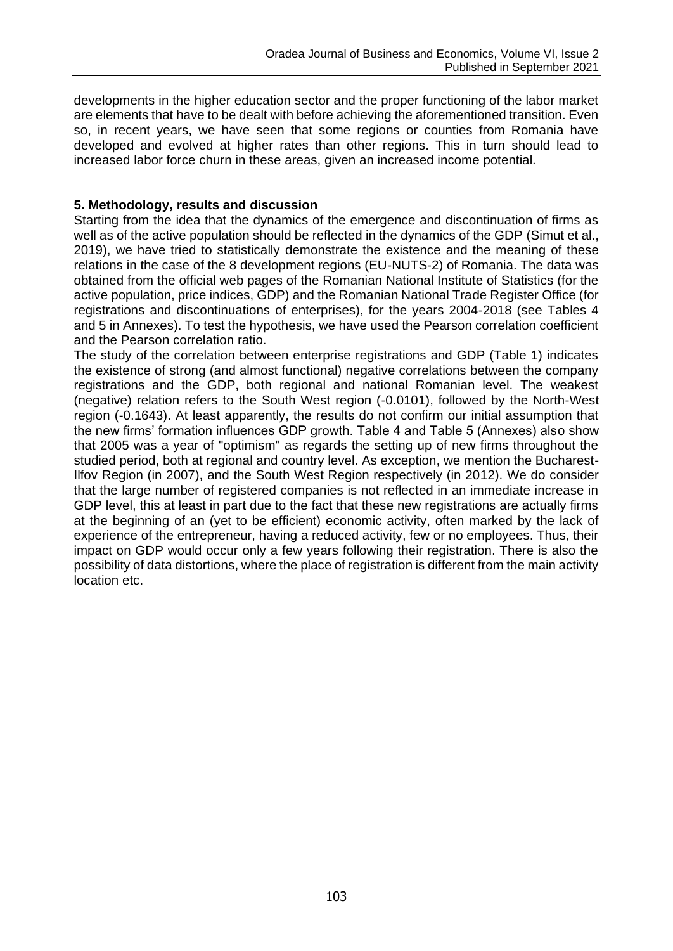developments in the higher education sector and the proper functioning of the labor market are elements that have to be dealt with before achieving the aforementioned transition. Even so, in recent years, we have seen that some regions or counties from Romania have developed and evolved at higher rates than other regions. This in turn should lead to increased labor force churn in these areas, given an increased income potential.

# **5. Methodology, results and discussion**

Starting from the idea that the dynamics of the emergence and discontinuation of firms as well as of the active population should be reflected in the dynamics of the GDP (Simut et al., 2019), we have tried to statistically demonstrate the existence and the meaning of these relations in the case of the 8 development regions (EU-NUTS-2) of Romania. The data was obtained from the official web pages of the Romanian National Institute of Statistics (for the active population, price indices, GDP) and the Romanian National Trade Register Office (for registrations and discontinuations of enterprises), for the years 2004-2018 (see Tables 4 and 5 in Annexes). To test the hypothesis, we have used the Pearson correlation coefficient and the Pearson correlation ratio.

The study of the correlation between enterprise registrations and GDP (Table 1) indicates the existence of strong (and almost functional) negative correlations between the company registrations and the GDP, both regional and national Romanian level. The weakest (negative) relation refers to the South West region (-0.0101), followed by the North-West region (-0.1643). At least apparently, the results do not confirm our initial assumption that the new firms' formation influences GDP growth. Table 4 and Table 5 (Annexes) also show that 2005 was a year of "optimism" as regards the setting up of new firms throughout the studied period, both at regional and country level. As exception, we mention the Bucharest-Ilfov Region (in 2007), and the South West Region respectively (in 2012). We do consider that the large number of registered companies is not reflected in an immediate increase in GDP level, this at least in part due to the fact that these new registrations are actually firms at the beginning of an (yet to be efficient) economic activity, often marked by the lack of experience of the entrepreneur, having a reduced activity, few or no employees. Thus, their impact on GDP would occur only a few years following their registration. There is also the possibility of data distortions, where the place of registration is different from the main activity location etc.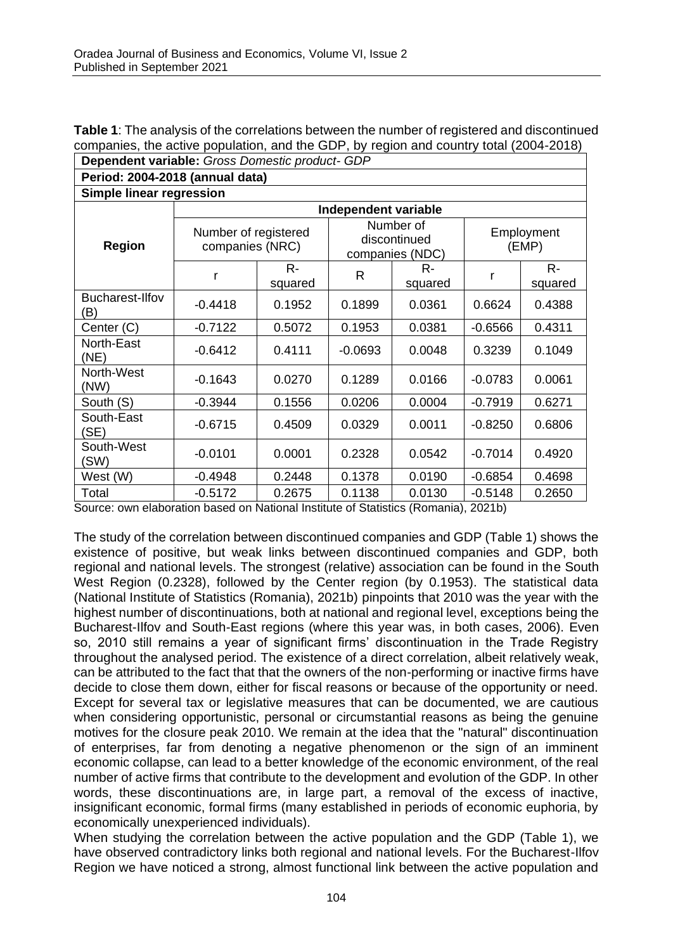| <b>Table 1:</b> The analysis of the correlations between the number of registered and discontinued |  |
|----------------------------------------------------------------------------------------------------|--|
| companies, the active population, and the GDP, by region and country total (2004-2018)             |  |
| <b>Dependent variable:</b> Gross Domestic product- GDP                                             |  |

| Period: 2004-2018 (annual data) |                                         |        |           |                                              |                     |                  |  |  |  |  |  |  |
|---------------------------------|-----------------------------------------|--------|-----------|----------------------------------------------|---------------------|------------------|--|--|--|--|--|--|
| Simple linear regression        |                                         |        |           |                                              |                     |                  |  |  |  |  |  |  |
|                                 | Independent variable                    |        |           |                                              |                     |                  |  |  |  |  |  |  |
| <b>Region</b>                   | Number of registered<br>companies (NRC) |        |           | Number of<br>discontinued<br>companies (NDC) | Employment<br>(EMP) |                  |  |  |  |  |  |  |
|                                 | R-<br>r<br>squared                      |        | R         | R-<br>squared                                | r                   | $R -$<br>squared |  |  |  |  |  |  |
| Bucharest-Ilfov<br>(B)          | $-0.4418$                               | 0.1952 | 0.1899    | 0.0361                                       | 0.6624              | 0.4388           |  |  |  |  |  |  |
| Center (C)                      | $-0.7122$                               | 0.5072 | 0.1953    | 0.0381                                       | $-0.6566$           | 0.4311           |  |  |  |  |  |  |
| North-East<br>(NE)              | $-0.6412$                               | 0.4111 | $-0.0693$ | 0.0048                                       | 0.3239              | 0.1049           |  |  |  |  |  |  |
| North-West<br>(NW)              | $-0.1643$                               | 0.0270 | 0.1289    | 0.0166                                       | $-0.0783$           | 0.0061           |  |  |  |  |  |  |
| South (S)                       | $-0.3944$                               | 0.1556 | 0.0206    | 0.0004                                       | $-0.7919$           | 0.6271           |  |  |  |  |  |  |
| South-East<br>(SE)              | $-0.6715$                               | 0.4509 | 0.0329    | 0.0011                                       | $-0.8250$           | 0.6806           |  |  |  |  |  |  |
| South-West<br>(SW)              | $-0.0101$                               | 0.0001 | 0.2328    | 0.0542                                       | $-0.7014$           | 0.4920           |  |  |  |  |  |  |
| West (W)                        | $-0.4948$                               | 0.2448 | 0.1378    | 0.0190                                       | $-0.6854$           | 0.4698           |  |  |  |  |  |  |
| Total                           | $-0.5172$                               | 0.2675 | 0.1138    | 0.0130                                       | $-0.5148$           | 0.2650           |  |  |  |  |  |  |

Source: own elaboration based on National Institute of Statistics (Romania), 2021b)

The study of the correlation between discontinued companies and GDP (Table 1) shows the existence of positive, but weak links between discontinued companies and GDP, both regional and national levels. The strongest (relative) association can be found in the South West Region (0.2328), followed by the Center region (by 0.1953). The statistical data (National Institute of Statistics (Romania), 2021b) pinpoints that 2010 was the year with the highest number of discontinuations, both at national and regional level, exceptions being the Bucharest-Ilfov and South-East regions (where this year was, in both cases, 2006). Even so, 2010 still remains a year of significant firms' discontinuation in the Trade Registry throughout the analysed period. The existence of a direct correlation, albeit relatively weak, can be attributed to the fact that that the owners of the non-performing or inactive firms have decide to close them down, either for fiscal reasons or because of the opportunity or need. Except for several tax or legislative measures that can be documented, we are cautious when considering opportunistic, personal or circumstantial reasons as being the genuine motives for the closure peak 2010. We remain at the idea that the "natural" discontinuation of enterprises, far from denoting a negative phenomenon or the sign of an imminent economic collapse, can lead to a better knowledge of the economic environment, of the real number of active firms that contribute to the development and evolution of the GDP. In other words, these discontinuations are, in large part, a removal of the excess of inactive, insignificant economic, formal firms (many established in periods of economic euphoria, by economically unexperienced individuals).

When studying the correlation between the active population and the GDP (Table 1), we have observed contradictory links both regional and national levels. For the Bucharest-Ilfov Region we have noticed a strong, almost functional link between the active population and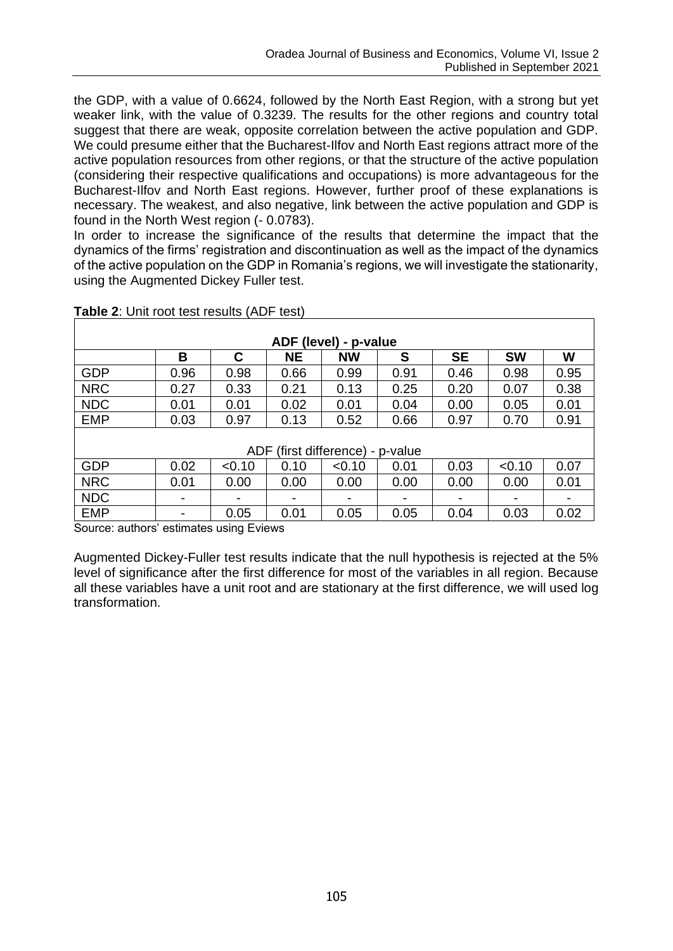the GDP, with a value of 0.6624, followed by the North East Region, with a strong but yet weaker link, with the value of 0.3239. The results for the other regions and country total suggest that there are weak, opposite correlation between the active population and GDP. We could presume either that the Bucharest-Ilfov and North East regions attract more of the active population resources from other regions, or that the structure of the active population (considering their respective qualifications and occupations) is more advantageous for the Bucharest-Ilfov and North East regions. However, further proof of these explanations is necessary. The weakest, and also negative, link between the active population and GDP is found in the North West region (- 0.0783).

In order to increase the significance of the results that determine the impact that the dynamics of the firms' registration and discontinuation as well as the impact of the dynamics of the active population on the GDP in Romania's regions, we will investigate the stationarity, using the Augmented Dickey Fuller test.

| ADF (level) - p-value            |      |        |           |              |      |           |           |      |  |  |  |  |  |
|----------------------------------|------|--------|-----------|--------------|------|-----------|-----------|------|--|--|--|--|--|
|                                  | в    | C      | <b>NE</b> | <b>NW</b>    | S    | <b>SE</b> | <b>SW</b> | W    |  |  |  |  |  |
| GDP                              | 0.96 | 0.98   | 0.66      | 0.99<br>0.91 |      | 0.46      | 0.98      | 0.95 |  |  |  |  |  |
| <b>NRC</b>                       | 0.27 | 0.33   | 0.21      | 0.13         | 0.25 | 0.20      | 0.07      | 0.38 |  |  |  |  |  |
| <b>NDC</b>                       | 0.01 | 0.01   | 0.02      | 0.01         | 0.04 | 0.00      | 0.05      | 0.01 |  |  |  |  |  |
| <b>EMP</b>                       | 0.03 | 0.97   | 0.13      | 0.52         | 0.66 | 0.97      | 0.70      | 0.91 |  |  |  |  |  |
| ADF (first difference) - p-value |      |        |           |              |      |           |           |      |  |  |  |  |  |
| GDP                              | 0.02 | < 0.10 | 0.10      | < 0.10       | 0.01 | 0.03      | < 0.10    | 0.07 |  |  |  |  |  |
| <b>NRC</b>                       | 0.01 | 0.00   | 0.00      | 0.00         | 0.00 | 0.00      | 0.00      | 0.01 |  |  |  |  |  |
| <b>NDC</b>                       |      |        | -         |              | -    | ۰         | ۰         |      |  |  |  |  |  |
| <b>EMP</b>                       |      | 0.05   | 0.01      | 0.05         | 0.05 | 0.04      | 0.03      | 0.02 |  |  |  |  |  |

**Table 2**: Unit root test results (ADF test)

Source: authors' estimates using Eviews

Augmented Dickey-Fuller test results indicate that the null hypothesis is rejected at the 5% level of significance after the first difference for most of the variables in all region. Because all these variables have a unit root and are stationary at the first difference, we will used log transformation.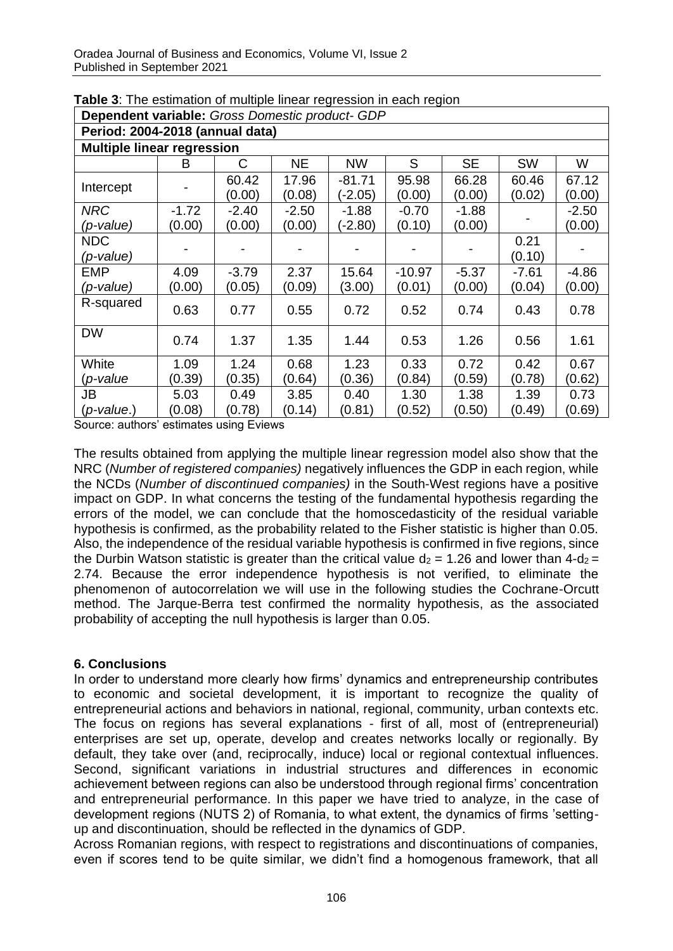| <b>Dependent variable:</b> Gross Domestic product- GDP |                                   |         |         |           |          |           |         |         |  |  |  |  |  |  |
|--------------------------------------------------------|-----------------------------------|---------|---------|-----------|----------|-----------|---------|---------|--|--|--|--|--|--|
|                                                        | Period: 2004-2018 (annual data)   |         |         |           |          |           |         |         |  |  |  |  |  |  |
|                                                        | <b>Multiple linear regression</b> |         |         |           |          |           |         |         |  |  |  |  |  |  |
|                                                        | В                                 | С       | NE      | NW        | S        | <b>SE</b> | SW      | W       |  |  |  |  |  |  |
|                                                        |                                   | 60.42   | 17.96   | $-81.71$  | 95.98    | 66.28     | 60.46   | 67.12   |  |  |  |  |  |  |
| Intercept                                              |                                   | (0.00)  | (0.08)  | $(-2.05)$ | (0.00)   | (0.00)    | (0.02)  | (0.00)  |  |  |  |  |  |  |
| <b>NRC</b>                                             | $-1.72$                           | $-2.40$ | $-2.50$ | $-1.88$   | $-0.70$  | $-1.88$   |         | $-2.50$ |  |  |  |  |  |  |
| (p-value)                                              | (0.00)                            | (0.00)  | (0.00)  | $-2.80$   | (0.10)   | (0.00)    |         | (0.00)  |  |  |  |  |  |  |
| <b>NDC</b>                                             |                                   |         |         |           |          |           | 0.21    |         |  |  |  |  |  |  |
| (p-value)                                              |                                   |         |         |           |          |           | (0.10)  |         |  |  |  |  |  |  |
| <b>EMP</b>                                             | 4.09                              | $-3.79$ | 2.37    | 15.64     | $-10.97$ | $-5.37$   | $-7.61$ | $-4.86$ |  |  |  |  |  |  |
| (p-value)                                              | (0.00)                            | (0.05)  | (0.09)  | (3.00)    | (0.01)   | (0.00)    | (0.04)  | (0.00)  |  |  |  |  |  |  |
| R-squared                                              | 0.63                              | 0.77    | 0.55    | 0.72      | 0.52     | 0.74      | 0.43    | 0.78    |  |  |  |  |  |  |
| <b>DW</b>                                              | 0.74                              | 1.37    | 1.35    | 1.44      | 0.53     | 1.26      | 0.56    | 1.61    |  |  |  |  |  |  |
| White                                                  | 1.09                              | 1.24    | 0.68    | 1.23      | 0.33     | 0.72      | 0.42    | 0.67    |  |  |  |  |  |  |
| (p-value                                               | (0.39)                            | (0.35)  | (0.64)  | (0.36)    | (0.84)   | (0.59)    | (0.78)  | (0.62)  |  |  |  |  |  |  |
| JB                                                     | 5.03                              | 0.49    | 3.85    | 0.40      | 1.30     | 1.38      | 1.39    | 0.73    |  |  |  |  |  |  |
| $(p$ -value.)                                          | (0.08)                            | (0.78)  | (0.14)  | (0.81)    | (0.52)   | (0.50)    | (0.49)  | (0.69)  |  |  |  |  |  |  |

**Table 3**: The estimation of multiple linear regression in each region

Source: authors' estimates using Eviews

The results obtained from applying the multiple linear regression model also show that the NRC (*Number of registered companies)* negatively influences the GDP in each region, while the NCDs (*Number of discontinued companies)* in the South-West regions have a positive impact on GDP. In what concerns the testing of the fundamental hypothesis regarding the errors of the model, we can conclude that the homoscedasticity of the residual variable hypothesis is confirmed, as the probability related to the Fisher statistic is higher than 0.05. Also, the independence of the residual variable hypothesis is confirmed in five regions, since the Durbin Watson statistic is greater than the critical value  $d_2 = 1.26$  and lower than  $4-d_2 =$ 2.74. Because the error independence hypothesis is not verified, to eliminate the phenomenon of autocorrelation we will use in the following studies the Cochrane-Orcutt method. The Jarque-Berra test confirmed the normality hypothesis, as the associated probability of accepting the null hypothesis is larger than 0.05.

### **6. Conclusions**

In order to understand more clearly how firms' dynamics and entrepreneurship contributes to economic and societal development, it is important to recognize the quality of entrepreneurial actions and behaviors in national, regional, community, urban contexts etc. The focus on regions has several explanations - first of all, most of (entrepreneurial) enterprises are set up, operate, develop and creates networks locally or regionally. By default, they take over (and, reciprocally, induce) local or regional contextual influences. Second, significant variations in industrial structures and differences in economic achievement between regions can also be understood through regional firms' concentration and entrepreneurial performance. In this paper we have tried to analyze, in the case of development regions (NUTS 2) of Romania, to what extent, the dynamics of firms 'settingup and discontinuation, should be reflected in the dynamics of GDP.

Across Romanian regions, with respect to registrations and discontinuations of companies, even if scores tend to be quite similar, we didn't find a homogenous framework, that all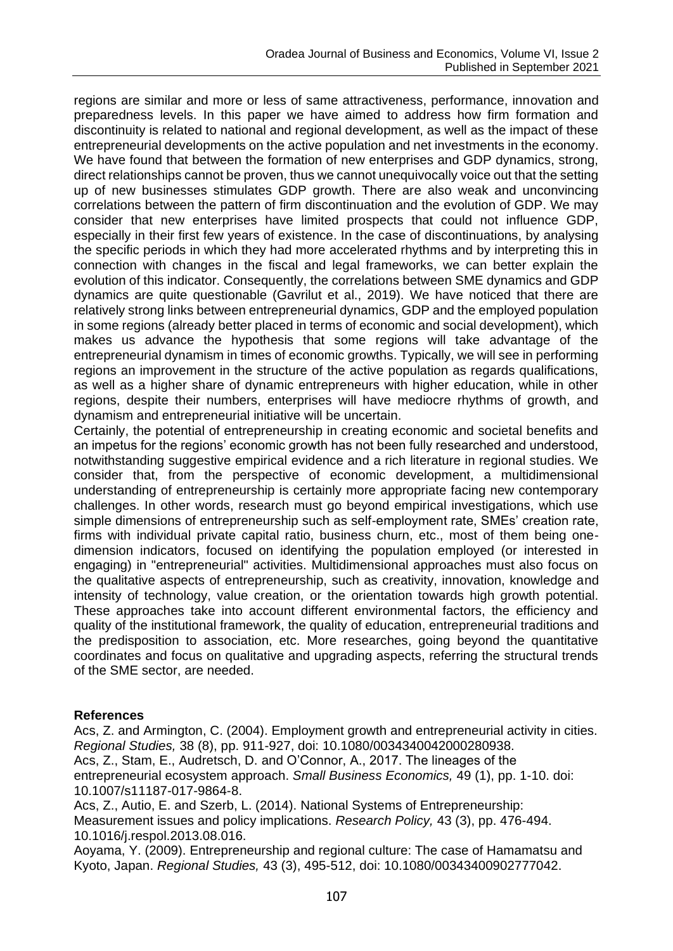regions are similar and more or less of same attractiveness, performance, innovation and preparedness levels. In this paper we have aimed to address how firm formation and discontinuity is related to national and regional development, as well as the impact of these entrepreneurial developments on the active population and net investments in the economy. We have found that between the formation of new enterprises and GDP dynamics, strong, direct relationships cannot be proven, thus we cannot unequivocally voice out that the setting up of new businesses stimulates GDP growth. There are also weak and unconvincing correlations between the pattern of firm discontinuation and the evolution of GDP. We may consider that new enterprises have limited prospects that could not influence GDP, especially in their first few years of existence. In the case of discontinuations, by analysing the specific periods in which they had more accelerated rhythms and by interpreting this in connection with changes in the fiscal and legal frameworks, we can better explain the evolution of this indicator. Consequently, the correlations between SME dynamics and GDP dynamics are quite questionable (Gavrilut et al., 2019). We have noticed that there are relatively strong links between entrepreneurial dynamics, GDP and the employed population in some regions (already better placed in terms of economic and social development), which makes us advance the hypothesis that some regions will take advantage of the entrepreneurial dynamism in times of economic growths. Typically, we will see in performing regions an improvement in the structure of the active population as regards qualifications, as well as a higher share of dynamic entrepreneurs with higher education, while in other regions, despite their numbers, enterprises will have mediocre rhythms of growth, and dynamism and entrepreneurial initiative will be uncertain.

Certainly, the potential of entrepreneurship in creating economic and societal benefits and an impetus for the regions' economic growth has not been fully researched and understood, notwithstanding suggestive empirical evidence and a rich literature in regional studies. We consider that, from the perspective of economic development, a multidimensional understanding of entrepreneurship is certainly more appropriate facing new contemporary challenges. In other words, research must go beyond empirical investigations, which use simple dimensions of entrepreneurship such as self-employment rate, SMEs' creation rate, firms with individual private capital ratio, business churn, etc., most of them being onedimension indicators, focused on identifying the population employed (or interested in engaging) in "entrepreneurial" activities. Multidimensional approaches must also focus on the qualitative aspects of entrepreneurship, such as creativity, innovation, knowledge and intensity of technology, value creation, or the orientation towards high growth potential. These approaches take into account different environmental factors, the efficiency and quality of the institutional framework, the quality of education, entrepreneurial traditions and the predisposition to association, etc. More researches, going beyond the quantitative coordinates and focus on qualitative and upgrading aspects, referring the structural trends of the SME sector, are needed.

### **References**

Acs, Z. and Armington, C. (2004). Employment growth and entrepreneurial activity in cities. *Regional Studies,* 38 (8), pp. 911-927, doi: 10.1080/0034340042000280938. Acs, Z., Stam, E., Audretsch, D. and O'Connor, A., 2017. The lineages of the entrepreneurial ecosystem approach. *Small Business Economics,* 49 (1), pp. 1-10. doi: 10.1007/s11187-017-9864-8.

Acs, Z., Autio, E. and Szerb, L. (2014). National Systems of Entrepreneurship: Measurement issues and policy implications. *Research Policy,* 43 (3), pp. 476-494. 10.1016/j.respol.2013.08.016.

Aoyama, Y. (2009). Entrepreneurship and regional culture: The case of Hamamatsu and Kyoto, Japan. *Regional Studies,* 43 (3), 495-512, doi: 10.1080/00343400902777042.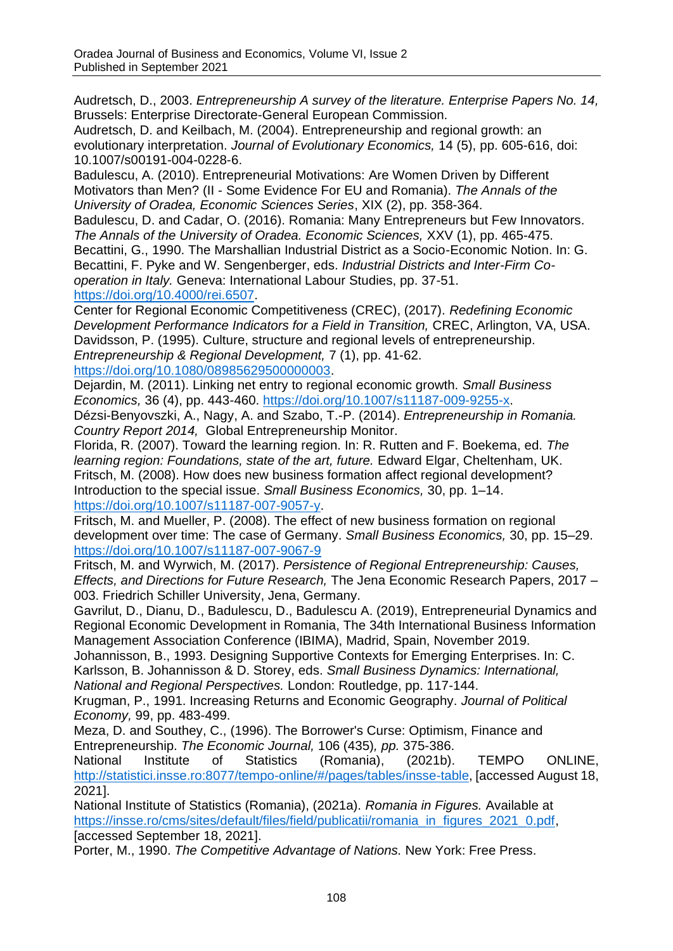Audretsch, D., 2003. *Entrepreneurship A survey of the literature. Enterprise Papers No. 14,*  Brussels: Enterprise Directorate-General European Commission.

Audretsch, D. and Keilbach, M. (2004). Entrepreneurship and regional growth: an evolutionary interpretation. *Journal of Evolutionary Economics,* 14 (5), pp. 605-616, doi: 10.1007/s00191-004-0228-6.

Badulescu, A. (2010). Entrepreneurial Motivations: Are Women Driven by Different Motivators than Men? (II - Some Evidence For EU and Romania). *The Annals of the University of Oradea, Economic Sciences Series*, XIX (2), pp. 358-364.

Badulescu, D. and Cadar, O. (2016). Romania: Many Entrepreneurs but Few Innovators. *The Annals of the University of Oradea. Economic Sciences,* XXV (1), pp. 465-475. Becattini, G., 1990. The Marshallian Industrial District as a Socio-Economic Notion. In: G. Becattini, F. Pyke and W. Sengenberger, eds. *Industrial Districts and Inter-Firm Cooperation in Italy.* Geneva: International Labour Studies, pp. 37-51. [https://doi.org/10.4000/rei.6507.](https://doi.org/10.4000/rei.6507)

Center for Regional Economic Competitiveness (CREC), (2017). *Redefining Economic Development Performance Indicators for a Field in Transition,* CREC, Arlington, VA, USA. Davidsson, P. (1995). Culture, structure and regional levels of entrepreneurship. *Entrepreneurship & Regional Development,* 7 (1), pp. 41-62. [https://doi.org/10.1080/08985629500000003.](https://doi.org/10.1080/08985629500000003)

Dejardin, M. (2011). Linking net entry to regional economic growth. *Small Business Economics,* 36 (4), pp. 443-460. [https://doi.org/10.1007/s11187-009-9255-x.](https://doi.org/10.1007/s11187-009-9255-x)

Dézsi-Benyovszki, A., Nagy, A. and Szabo, T.-P. (2014). *Entrepreneurship in Romania. Country Report 2014,* Global Entrepreneurship Monitor.

Florida, R. (2007). Toward the learning region. In: R. Rutten and F. Boekema, ed. *The*  learning region: Foundations, state of the art, future. Edward Elgar, Cheltenham, UK. Fritsch, M. (2008). How does new business formation affect regional development? Introduction to the special issue. *Small Business Economics,* 30, pp. 1–14. [https://doi.org/10.1007/s11187-007-9057-y.](https://doi.org/10.1007/s11187-007-9057-y)

Fritsch, M. and Mueller, P. (2008). The effect of new business formation on regional development over time: The case of Germany. *Small Business Economics,* 30, pp. 15–29. <https://doi.org/10.1007/s11187-007-9067-9>

Fritsch, M. and Wyrwich, M. (2017). *Persistence of Regional Entrepreneurship: Causes, Effects, and Directions for Future Research,* The Jena Economic Research Papers, 2017 – 003. Friedrich Schiller University, Jena, Germany.

Gavrilut, D., Dianu, D., Badulescu, D., Badulescu A. (2019), Entrepreneurial Dynamics and Regional Economic Development in Romania, The 34th International Business Information Management Association Conference (IBIMA), Madrid, Spain, November 2019.

Johannisson, B., 1993. Designing Supportive Contexts for Emerging Enterprises. In: C. Karlsson, B. Johannisson & D. Storey, eds. *Small Business Dynamics: International, National and Regional Perspectives.* London: Routledge, pp. 117-144.

Krugman, P., 1991. Increasing Returns and Economic Geography. *Journal of Political Economy,* 99, pp. 483-499.

Meza, D. and Southey, C., (1996). The Borrower's Curse: Optimism, Finance and Entrepreneurship. *The Economic Journal,* 106 (435)*, pp.* 375-386.

National Institute of Statistics (Romania), (2021b). TEMPO ONLINE, [http://statistici.insse.ro:8077/tempo-online/#/pages/tables/insse-table,](http://statistici.insse.ro:8077/tempo-online/#/pages/tables/insse-table) [accessed August 18, 2021].

National Institute of Statistics (Romania), (2021a). *Romania in Figures.* Available at [https://insse.ro/cms/sites/default/files/field/publicatii/romania\\_in\\_figures\\_2021\\_0.pdf,](https://insse.ro/cms/sites/default/files/field/publicatii/romania_in_figures_2021_0.pdf) [accessed September 18, 2021].

Porter, M., 1990. *The Competitive Advantage of Nations.* New York: Free Press.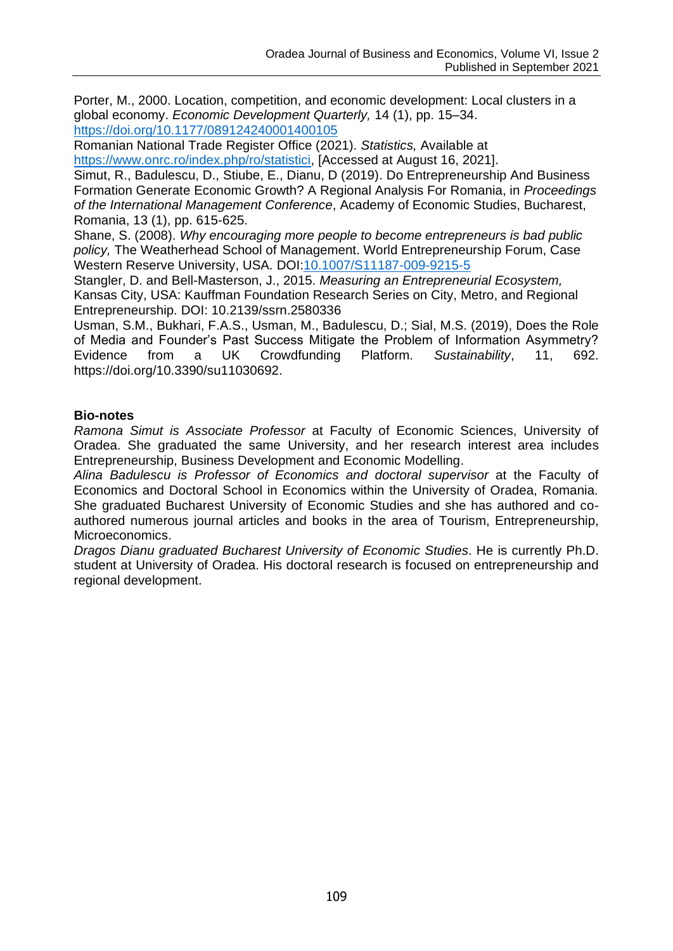Porter, M., 2000. Location, competition, and economic development: Local clusters in a global economy. *Economic Development Quarterly,* 14 (1), pp. 15–34. [https://doi.org/10.1177/089124240001400105](https://doi.org/10.1177%2F089124240001400105)

Romanian National Trade Register Office (2021). *Statistics,* Available at [https://www.onrc.ro/index.php/ro/statistici,](https://www.onrc.ro/index.php/ro/statistici) [Accessed at August 16, 2021].

Simut, R., Badulescu, D., Stiube, E., Dianu, D (2019). Do Entrepreneurship And Business Formation Generate Economic Growth? A Regional Analysis For Romania, in *Proceedings of the International Management Conference*, Academy of Economic Studies, Bucharest, Romania, 13 (1), pp. 615-625.

Shane, S. (2008). *Why encouraging more people to become entrepreneurs is bad public policy,* The Weatherhead School of Management. World Entrepreneurship Forum, Case Western Reserve University, USA. DOI[:10.1007/S11187-009-9215-5](https://doi.org/10.1007/S11187-009-9215-5)

Stangler, D. and Bell-Masterson, J., 2015. *Measuring an Entrepreneurial Ecosystem,*  Kansas City, USA: Kauffman Foundation Research Series on City, Metro, and Regional Entrepreneurship. DOI: 10.2139/ssrn.2580336

Usman, S.M., Bukhari, F.A.S., Usman, M., Badulescu, D.; Sial, M.S. (2019), Does the Role of Media and Founder's Past Success Mitigate the Problem of Information Asymmetry? Evidence from a UK Crowdfunding Platform. *Sustainability*, 11, 692. https://doi.org/10.3390/su11030692.

## **Bio-notes**

*Ramona Simut is Associate Professor* at Faculty of Economic Sciences, University of Oradea. She graduated the same University, and her research interest area includes Entrepreneurship, Business Development and Economic Modelling.

*Alina Badulescu is Professor of Economics and doctoral supervisor* at the Faculty of Economics and Doctoral School in Economics within the University of Oradea, Romania. She graduated Bucharest University of Economic Studies and she has authored and coauthored numerous journal articles and books in the area of Tourism, Entrepreneurship, Microeconomics.

*Dragos Dianu graduated Bucharest University of Economic Studies*. He is currently Ph.D. student at University of Oradea. His doctoral research is focused on entrepreneurship and regional development.